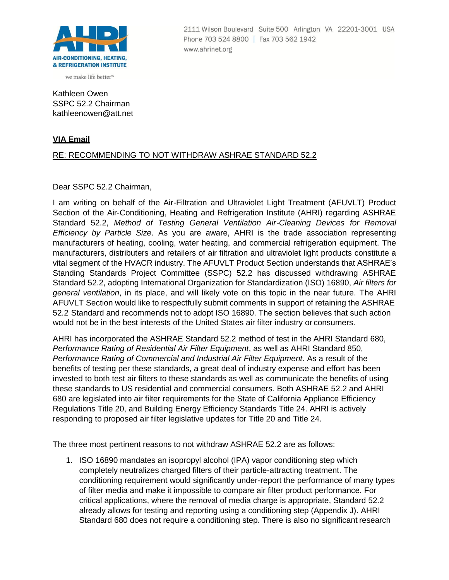

we make life better™

Kathleen Owen SSPC 52.2 Chairman [kathleenowen@att.net](mailto:kathleenowen@att.net)

## **VIA Email**

## RE: RECOMMENDING TO NOT WITHDRAW ASHRAE STANDARD 52.2

Dear SSPC 52.2 Chairman,

I am writing on behalf of the Air-Filtration and Ultraviolet Light Treatment (AFUVLT) Product Section of the Air-Conditioning, Heating and Refrigeration Institute (AHRI) regarding ASHRAE Standard 52.2, *Method of Testing General Ventilation Air-Cleaning Devices for Removal Efficiency by Particle Size*. As you are aware, AHRI is the trade association representing manufacturers of heating, cooling, water heating, and commercial refrigeration equipment. The manufacturers, distributers and retailers of air filtration and ultraviolet light products constitute a vital segment of the HVACR industry. The AFUVLT Product Section understands that ASHRAE's Standing Standards Project Committee (SSPC) 52.2 has discussed withdrawing ASHRAE Standard 52.2, adopting International Organization for Standardization (ISO) 16890, *Air filters for general ventilation*, in its place, and will likely vote on this topic in the near future. The AHRI AFUVLT Section would like to respectfully submit comments in support of retaining the ASHRAE 52.2 Standard and recommends not to adopt ISO 16890. The section believes that such action would not be in the best interests of the United States air filter industry or consumers.

AHRI has incorporated the ASHRAE Standard 52.2 method of test in the AHRI Standard 680, *Performance Rating of Residential Air Filter Equipment*, as well as AHRI Standard 850, *Performance Rating of Commercial and Industrial Air Filter Equipment*. As a result of the benefits of testing per these standards, a great deal of industry expense and effort has been invested to both test air filters to these standards as well as communicate the benefits of using these standards to US residential and commercial consumers. Both ASHRAE 52.2 and AHRI 680 are legislated into air filter requirements for the State of California Appliance Efficiency Regulations Title 20, and Building Energy Efficiency Standards Title 24. AHRI is actively responding to proposed air filter legislative updates for Title 20 and Title 24.

The three most pertinent reasons to not withdraw ASHRAE 52.2 are as follows:

1. ISO 16890 mandates an isopropyl alcohol (IPA) vapor conditioning step which completely neutralizes charged filters of their particle-attracting treatment. The conditioning requirement would significantly under-report the performance of many types of filter media and make it impossible to compare air filter product performance. For critical applications, where the removal of media charge is appropriate, Standard 52.2 already allows for testing and reporting using a conditioning step (Appendix J). AHRI Standard 680 does not require a conditioning step. There is also no significant research